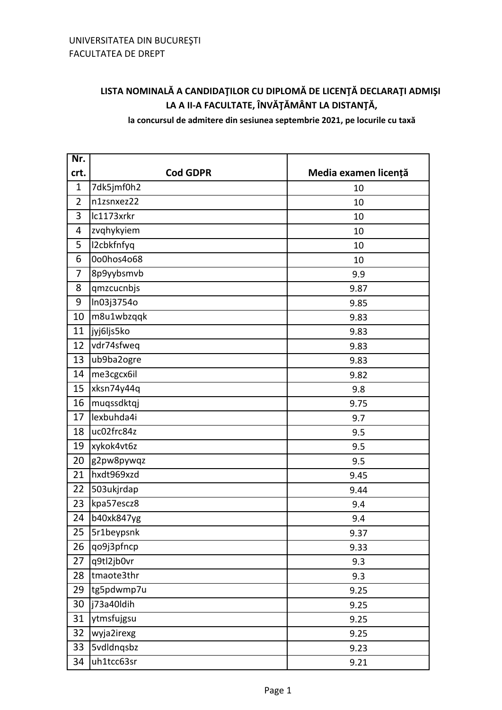## **LISTA NOMINALĂ A CANDIDAŢILOR CU DIPLOMĂ DE LICENŢĂ DECLARAŢI ADMIŞI LA A II-A FACULTATE, ÎNVĂŢĂMÂNT LA DISTANŢĂ,**

**la concursul de admitere din sesiunea septembrie 2021, pe locurile cu taxă**

| Nr.            |                   |                      |
|----------------|-------------------|----------------------|
| crt.           | <b>Cod GDPR</b>   | Media examen licență |
| $\mathbf{1}$   | 7dk5jmf0h2        | 10                   |
| $\overline{2}$ | n1zsnxez22        | 10                   |
| 3              | lc1173xrkr        | 10                   |
| 4              | zvqhykyiem        | 10                   |
| 5              | I2cbkfnfyq        | 10                   |
| 6              | 0o0hos4o68        | 10                   |
| 7              | 8p9yybsmvb        | 9.9                  |
| 8              | qmzcucnbjs        | 9.87                 |
| 9              | In03j3754o        | 9.85                 |
| 10             | m8u1wbzqqk        | 9.83                 |
| 11             | jyj6ljs5ko        | 9.83                 |
| 12             | vdr74sfweq        | 9.83                 |
| 13             | ub9ba2ogre        | 9.83                 |
| 14             | me3cgcx6il        | 9.82                 |
| 15             | xksn74y44q        | 9.8                  |
| 16             | muqssdktqj        | 9.75                 |
| 17             | lexbuhda4i        | 9.7                  |
| 18             | uc02frc84z        | 9.5                  |
| 19             | xykok4vt6z        | 9.5                  |
| 20             | g2pw8pywqz        | 9.5                  |
| 21             | hxdt969xzd        | 9.45                 |
| 22             | 503ukjrdap        | 9.44                 |
| 23             | kpa57escz8        | 9.4                  |
| 24             | b40xk847yg        | 9.4                  |
| 25             | 5r1beypsnk        | 9.37                 |
| 26             | qo9j3pfncp        | 9.33                 |
| 27             | q9tl2jb0vr        | 9.3                  |
| 28             | tmaote3thr        | 9.3                  |
| 29             | tg5pdwmp7u        | 9.25                 |
| 30             | j73a40ldih        | 9.25                 |
| 31             | ytmsfujgsu        | 9.25                 |
| 32             | wyja2irexg        | 9.25                 |
| 33             | <b>5vdldnqsbz</b> | 9.23                 |
| 34             | uh1tcc63sr        | 9.21                 |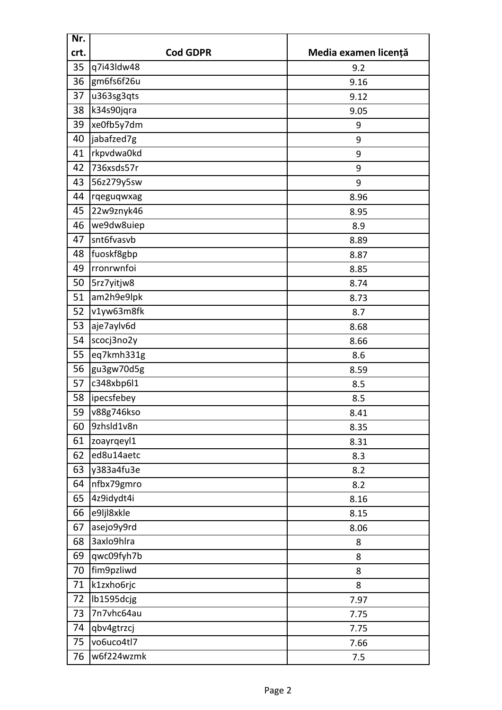| Nr.              |                 |                      |
|------------------|-----------------|----------------------|
| crt.             | <b>Cod GDPR</b> | Media examen licență |
| 35               | q7i43ldw48      | 9.2                  |
| 36               | gm6fs6f26u      | 9.16                 |
| 37               | u363sg3qts      | 9.12                 |
| 38               | k34s90jqra      | 9.05                 |
| 39               | xe0fb5y7dm      | 9                    |
| 40               | jabafzed7g      | 9                    |
| 41               | rkpvdwa0kd      | 9                    |
| 42               | 736xsds57r      | 9                    |
| 43               | 56z279y5sw      | 9                    |
| 44               | rqeguqwxag      | 8.96                 |
| 45               | 22w9znyk46      | 8.95                 |
| 46               | we9dw8uiep      | 8.9                  |
| 47               | snt6fvasvb      | 8.89                 |
| 48               | fuoskf8gbp      | 8.87                 |
| 49               | rronrwnfoi      | 8.85                 |
| 50               | 5rz7yitjw8      | 8.74                 |
| 51               | am2h9e9lpk      | 8.73                 |
| 52               | v1yw63m8fk      | 8.7                  |
| 53               | aje7aylv6d      | 8.68                 |
| 54               | scocj3no2y      | 8.66                 |
| 55               | eq7kmh331g      | 8.6                  |
| 56               | gu3gw70d5g      | 8.59                 |
| 57               | c348xbp6l1      | 8.5                  |
| 58               | ipecsfebey      | 8.5                  |
| 59               | v88g746kso      | 8.41                 |
| 60               | 9zhsld1v8n      | 8.35                 |
| 61               | zoayrgeyl1      | 8.31                 |
| 62               | ed8u14aetc      | 8.3                  |
| 63               | y383a4fu3e      | 8.2                  |
| 64               | nfbx79gmro      | 8.2                  |
| 65               | 4z9idydt4i      | 8.16                 |
| e9ljl8xkle<br>66 |                 | 8.15                 |
| 67               | asejo9y9rd      | 8.06                 |
| 68               | 3axlo9hlra      | 8                    |
| 69               | qwc09fyh7b      | 8                    |
| 70               | fim9pzliwd      | 8                    |
| 71               | k1zxho6rjc      | 8                    |
| 72               | lb1595dcjg      | 7.97                 |
| 73               | 7n7vhc64au      | 7.75                 |
| 74               | qbv4gtrzcj      | 7.75                 |
| 75               | vo6uco4tl7      | 7.66                 |
| 76               | w6f224wzmk      | 7.5                  |